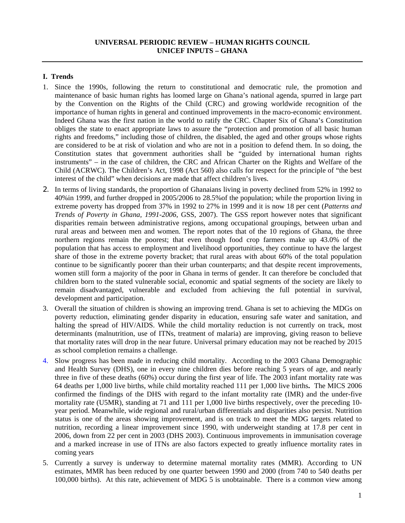## **UNIVERSAL PERIODIC REVIEW – HUMAN RIGHTS COUNCIL UNICEF INPUTS – GHANA**

## **I. Trends**

- 1. Since the 1990s, following the return to constitutional and democratic rule, the promotion and maintenance of basic human rights has loomed large on Ghana's national agenda, spurred in large part by the Convention on the Rights of the Child (CRC) and growing worldwide recognition of the importance of human rights in general and continued improvements in the macro-economic environment. Indeed Ghana was the first nation in the world to ratify the CRC. Chapter Six of Ghana's Constitution obliges the state to enact appropriate laws to assure the "protection and promotion of all basic human rights and freedoms," including those of children, the disabled, the aged and other groups whose rights are considered to be at risk of violation and who are not in a position to defend them. In so doing, the Constitution states that government authorities shall be "guided by international human rights instruments" – in the case of children, the CRC and African Charter on the Rights and Welfare of the Child (ACRWC). The Children's Act, 1998 (Act 560) also calls for respect for the principle of "the best interest of the child" when decisions are made that affect children's lives.
- 2. In terms of living standards, the proportion of Ghanaians living in poverty declined from 52% in 1992 to 40%in 1999, and further dropped in 2005/2006 to 28.5%of the population; while the proportion living in extreme poverty has dropped from 37% in 1992 to 27% in 1999 and it is now 18 per cent (*Patterns and Trends of Poverty in Ghana, 1991-2006*, GSS, 2007). The GSS report however notes that significant disparities remain between administrative regions, among occupational groupings, between urban and rural areas and between men and women. The report notes that of the 10 regions of Ghana, the three northern regions remain the poorest; that even though food crop farmers make up 43.0% of the population that has access to employment and livelihood opportunities, they continue to have the largest share of those in the extreme poverty bracket; that rural areas with about 60% of the total population continue to be significantly poorer than their urban counterparts; and that despite recent improvements, women still form a majority of the poor in Ghana in terms of gender. It can therefore be concluded that children born to the stated vulnerable social, economic and spatial segments of the society are likely to remain disadvantaged, vulnerable and excluded from achieving the full potential in survival, development and participation.
- 3. Overall the situation of children is showing an improving trend. Ghana is set to achieving the MDGs on poverty reduction, eliminating gender disparity in education, ensuring safe water and sanitation, and halting the spread of HIV/AIDS. While the child mortality reduction is not currently on track, most determinants (malnutrition, use of ITNs, treatment of malaria) are improving, giving reason to believe that mortality rates will drop in the near future. Universal primary education may not be reached by 2015 as school completion remains a challenge.
- 4. Slow progress has been made in reducing child mortality. According to the 2003 Ghana Demographic and Health Survey (DHS), one in every nine children dies before reaching 5 years of age, and nearly three in five of these deaths (60%) occur during the first year of life. The 2003 infant mortality rate was 64 deaths per 1,000 live births, while child mortality reached 111 per 1,000 live births**.** The MICS 2006 confirmed the findings of the DHS with regard to the infant mortality rate (IMR) and the under-five mortality rate (U5MR), standing at 71 and 111 per 1,000 live births respectively, over the preceding 10 year period. Meanwhile, wide regional and rural/urban differentials and disparities also persist. Nutrition status is one of the areas showing improvement, and is on track to meet the MDG targets related to nutrition, recording a linear improvement since 1990, with underweight standing at 17.8 per cent in 2006, down from 22 per cent in 2003 (DHS 2003). Continuous improvements in immunisation coverage and a marked increase in use of ITNs are also factors expected to greatly influence mortality rates in coming years
- 5. Currently a survey is underway to determine maternal mortality rates (MMR). According to UN estimates, MMR has been reduced by one quarter between 1990 and 2000 (from 740 to 540 deaths per 100,000 births). At this rate, achievement of MDG 5 is unobtainable. There is a common view among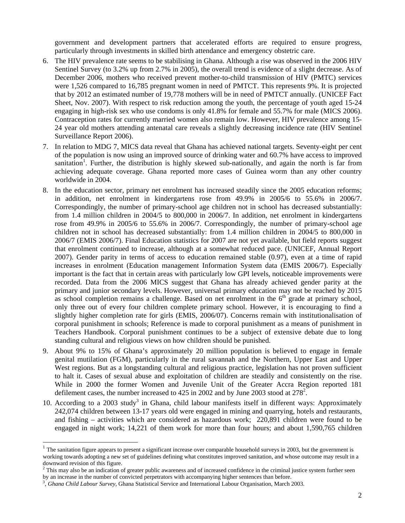government and development partners that accelerated efforts are required to ensure progress, particularly through investments in skilled birth attendance and emergency obstetric care.

- 6. The HIV prevalence rate seems to be stabilising in Ghana. Although a rise was observed in the 2006 HIV Sentinel Survey (to 3.2% up from 2.7% in 2005), the overall trend is evidence of a slight decrease. As of December 2006, mothers who received prevent mother-to-child transmission of HIV (PMTC) services were 1,526 compared to 16,785 pregnant women in need of PMTCT. This represents 9%. It is projected that by 2012 an estimated number of 19,778 mothers will be in need of PMTCT annually. (UNICEF Fact Sheet, Nov. 2007). With respect to risk reduction among the youth, the percentage of youth aged 15-24 engaging in high-risk sex who use condoms is only 41.8% for female and 55.7% for male (MICS 2006). Contraception rates for currently married women also remain low. However, HIV prevalence among 15- 24 year old mothers attending antenatal care reveals a slightly decreasing incidence rate (HIV Sentinel Surveillance Report 2006).
- 7. In relation to MDG 7, MICS data reveal that Ghana has achieved national targets. Seventy-eight per cent of the population is now using an improved source of drinking water and 60.7% have access to improved sanitation<sup>1</sup>. Further, the distribution is highly skewed sub-nationally, and again the north is far from achieving adequate coverage. Ghana reported more cases of Guinea worm than any other country worldwide in 2004.
- 8. In the education sector, primary net enrolment has increased steadily since the 2005 education reforms; in addition, net enrolment in kindergartens rose from 49.9% in 2005/6 to 55.6% in 2006/7. Correspondingly, the number of primary-school age children not in school has decreased substantially: from 1.4 million children in 2004/5 to 800,000 in 2006/7. In addition, net enrolment in kindergartens rose from 49.9% in 2005/6 to 55.6% in 2006/7. Correspondingly, the number of primary-school age children not in school has decreased substantially: from 1.4 million children in 2004/5 to 800,000 in 2006/7 (EMIS 2006/7). Final Education statistics for 2007 are not yet available, but field reports suggest that enrolment continued to increase, although at a somewhat reduced pace. (UNICEF, Annual Report 2007). Gender parity in terms of access to education remained stable (0.97), even at a time of rapid increases in enrolment (Education management Information System data (EMIS 2006/7). Especially important is the fact that in certain areas with particularly low GPI levels, noticeable improvements were recorded. Data from the 2006 MICS suggest that Ghana has already achieved gender parity at the primary and junior secondary levels. However, universal primary education may not be reached by 2015 as school completion remains a challenge. Based on net enrolment in the  $6<sup>th</sup>$  grade at primary school, only three out of every four children complete primary school. However, it is encouraging to find a slightly higher completion rate for girls (EMIS, 2006/07). Concerns remain with institutionalisation of corporal punishment in schools; Reference is made to corporal punishment as a means of punishment in Teachers Handbook. Corporal punishment continues to be a subject of extensive debate due to long standing cultural and religious views on how children should be punished.
- 9. About 9% to 15% of Ghana's approximately 20 million population is believed to engage in female genital mutilation (FGM), particularly in the rural savannah and the Northern, Upper East and Upper West regions. But as a longstanding cultural and religious practice, legislation has not proven sufficient to halt it. Cases of sexual abuse and exploitation of children are steadily and consistently on the rise. While in 2000 the former Women and Juvenile Unit of the Greater Accra Region reported 181 defilement cases, the number increased to 425 in 2002 and by June 2003 stood at  $278^2$ .
- 10. According to a 2003 study<sup>3</sup> in Ghana, child labour manifests itself in different ways: Approximately 242,074 children between 13-17 years old were engaged in mining and quarrying, hotels and restaurants, and fishing – activities which are considered as hazardous work; 220,891 children were found to be engaged in night work; 14,221 of them work for more than four hours; and about 1,590,765 children

 $1$  The sanitation figure appears to present a significant increase over comparable household surveys in 2003, but the government is working towards adopting a new set of guidelines defining what constitutes improved sanitation, and whose outcome may result in a downward revision of this figure.

 $2$  This may also be an indication of greater public awareness and of increased confidence in the criminal justice system further seen by an increase in the number of convicted perpetrators with accompanying higher sentences than before.

<sup>,</sup> *Ghana Child Labour Survey*, Ghana Statistical Service and International Labour Organisation, March 2003.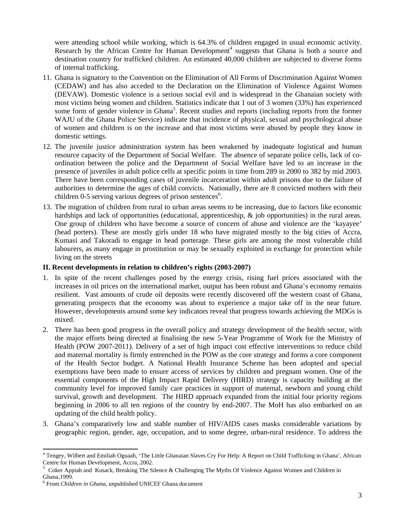were attending school while working, which is 64.3% of children engaged in usual economic activity. Research by the African Centre for Human Development<sup>4</sup> suggests that Ghana is both a source and destination country for trafficked children. An estimated 40,000 children are subjected to diverse forms of internal trafficking.

- 11. Ghana is signatory to the Convention on the Elimination of All Forms of Discrimination Against Women (CEDAW) and has also acceded to the Declaration on the Elimination of Violence Against Women (DEVAW). Domestic violence is a serious social evil and is widespread in the Ghanaian society with most victims being women and children. Statistics indicate that 1 out of 3 women (33%) has experienced some form of gender violence in Ghana<sup>5</sup>. Recent studies and reports (including reports from the former WAJU of the Ghana Police Service) indicate that incidence of physical, sexual and psychological abuse of women and children is on the increase and that most victims were abused by people they know in domestic settings.
- 12. The juvenile justice administration system has been weakened by inadequate logistical and human resource capacity of the Department of Social Welfare. The absence of separate police cells, lack of coordination between the police and the Department of Social Welfare have led to an increase in the presence of juveniles in adult police cells at specific points in time from 289 in 2000 to 382 by mid 2003. There have been corresponding cases of juvenile incarceration within adult prisons due to the failure of authorities to determine the ages of child convicts. Nationally, there are 8 convicted mothers with their children 0-5 serving various degrees of prison sentences<sup>6</sup>.
- 13. The migration of children from rural to urban areas seems to be increasing, due to factors like economic hardships and lack of opportunities (educational, apprenticeship, & job opportunities) in the rural areas. One group of children who have become a source of concern of abuse and violence are the 'kayayee' (head porters). These are mostly girls under 18 who have migrated mostly to the big cities of Accra, Kumasi and Takoradi to engage in head porterage. These girls are among the most vulnerable child labourers, as many engage in prostitution or may be sexually exploited in exchange for protection while living on the streets

## **II. Recent developments in relation to children's rights (2003-2007)**

- 1. In spite of the recent challenges posed by the energy crisis, rising fuel prices associated with the increases in oil prices on the international market, output has been robust and Ghana's economy remains resilient. Vast amounts of crude oil deposits were recently discovered off the western coast of Ghana, generating prospects that the economy was about to experience a major take off in the near future. However, developments around some key indicators reveal that progress towards achieving the MDGs is mixed.
- 2. There has been good progress in the overall policy and strategy development of the health sector, with the major efforts being directed at finalising the new 5-Year Programme of Work for the Ministry of Health (POW 2007-2011). Delivery of a set of high impact cost effective interventions to reduce child and maternal mortality is firmly entrenched in the POW as the core strategy and forms a core component of the Health Sector budget. A National Health Insurance Scheme has been adopted and special exemptions have been made to ensure access of services by children and pregnant women. One of the essential components of the High Impact Rapid Delivery (HIRD) strategy is capacity building at the community level for improved family care practices in support of maternal, newborn and young child survival, growth and development. The HIRD approach expanded from the initial four priority regions beginning in 2006 to all ten regions of the country by end-2007. The MoH has also embarked on an updating of the child health policy.
- 3. Ghana's comparatively low and stable number of HIV/AIDS cases masks considerable variations by geographic region, gender, age, occupation, and to some degree, urban-rural residence. To address the

 $\overline{a}$ 

<sup>&</sup>lt;sup>4</sup> Tengey, Wilbert and Emiliah Oguaah, 'The Little Ghanaian Slaves Cry For Help: A Report on Child Trafficking in Ghana', African Centre for Human Development, Accra, 2002.

<sup>5</sup> Coker Appiah and Kusack, Breaking The Silence & Challenging The Myths Of Violence Against Women and Children in Ghana,1999.

<sup>6</sup> From *Children in Ghana*, unpublished UNICEF Ghana document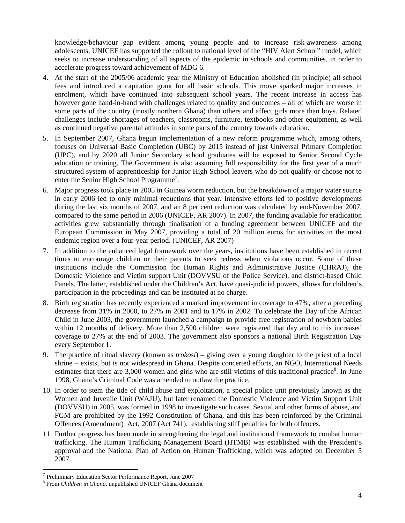knowledge/behaviour gap evident among young people and to increase risk-awareness among adolescents, UNICEF has supported the rollout to national level of the "HIV Alert School" model, which seeks to increase understanding of all aspects of the epidemic in schools and communities, in order to accelerate progress toward achievement of MDG 6.

- 4. At the start of the 2005/06 academic year the Ministry of Education abolished (in principle) all school fees and introduced a capitation grant for all basic schools. This move sparked major increases in enrolment, which have continued into subsequent school years. The recent increase in access has however gone hand-in-hand with challenges related to quality and outcomes – all of which are worse in some parts of the country (mostly northern Ghana) than others and affect girls more than boys. Related challenges include shortages of teachers, classrooms, furniture, textbooks and other equipment, as well as continued negative parental attitudes in some parts of the country towards education.
- 5. In September 2007, Ghana begun implementation of a new reform programme which, among others, focuses on Universal Basic Completion (UBC) by 2015 instead of just Universal Primary Completion (UPC), and by 2020 all Junior Secondary school graduates will be exposed to Senior Second Cycle education or training. The Government is also assuming full responsibility for the first year of a much structured system of apprenticeship for Junior High School leavers who do not qualify or choose not to enter the Senior High School Programme<sup>7</sup>.
- 6. Major progress took place in 2005 in Guinea worm reduction, but the breakdown of a major water source in early 2006 led to only minimal reductions that year. Intensive efforts led to positive developments during the last six months of 2007, and an 8 per cent reduction was calculated by end-November 2007, compared to the same period in 2006 (UNICEF, AR 2007). In 2007, the funding available for eradication activities grew substantially through finalisation of a funding agreement between UNICEF and the European Commission in May 2007, providing a total of 20 million euros for activities in the most endemic region over a four-year period. (UNICEF, AR 2007)
- 7. In addition to the enhanced legal framework over the years, institutions have been established in recent times to encourage children or their parents to seek redress when violations occur. Some of these institutions include the Commission for Human Rights and Administrative Justice (CHRAJ), the Domestic Violence and Victim support Unit (DOVVSU of the Police Service), and district-based Child Panels. The latter, established under the Children's Act, have quasi-judicial powers, allows for children's participation in the proceedings and can be instituted at no charge.
- 8. Birth registration has recently experienced a marked improvement in coverage to 47%, after a preceding decrease from 31% in 2000, to 27% in 2001 and to 17% in 2002. To celebrate the Day of the African Child in June 2003, the government launched a campaign to provide free registration of newborn babies within 12 months of delivery. More than 2,500 children were registered that day and to this increased coverage to 27% at the end of 2003. The government also sponsors a national Birth Registration Day every September 1.
- 9. The practice of ritual slavery (known as *trokosi*) giving over a young daughter to the priest of a local shrine *–* exists, but is not widespread in Ghana. Despite concerted efforts, an NGO, International Needs estimates that there are 3,000 women and girls who are still victims of this traditional practice<sup>8</sup>. In June 1998, Ghana's Criminal Code was amended to outlaw the practice.
- 10. In order to stem the tide of child abuse and exploitation, a special police unit previously known as the Women and Juvenile Unit (WAJU), but later renamed the Domestic Violence and Victim Support Unit (DOVVSU) in 2005, was formed in 1998 to investigate such cases. Sexual and other forms of abuse, and FGM are prohibited by the 1992 Constitution of Ghana, and this has been reinforced by the Criminal Offences (Amendment) Act, 2007 (Act 741), establishing stiff penalties for both offences.
- 11. Further progress has been made in strengthening the legal and institutional framework to combat human trafficking. The Human Trafficking Management Board (HTMB) was established with the President's approval and the National Plan of Action on Human Trafficking, which was adopted on December 5 2007.

 $7$  Preliminary Education Sector Performance Report, June 2007

From *Children in Ghana*, unpublished UNICEF Ghana document